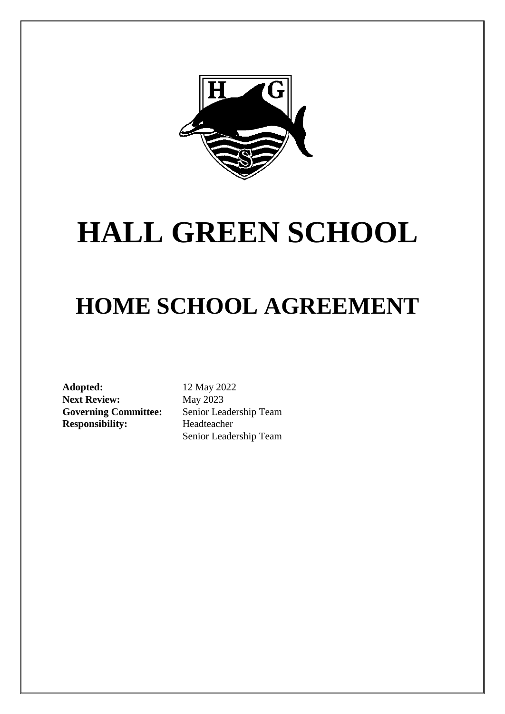

# **HALL GREEN SCHOOL**

## **HOME SCHOOL AGREEMENT**

**Adopted:** 12 May 2022 Next Review: May 2023 **Responsibility:** Headteacher

**Governing Committee:** Senior Leadership Team Senior Leadership Team